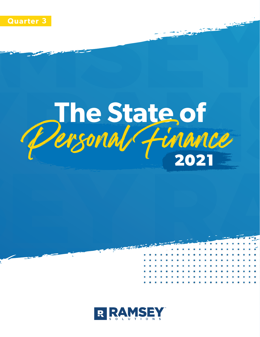

# The State of<br>Personal Finance

**ATACA** 

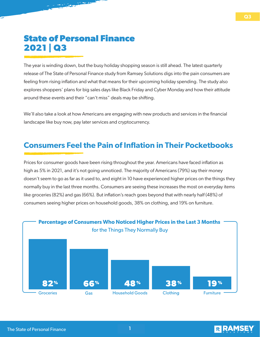# **State of Personal Finance 2021 | Q3**

feeling from rising inflation and what that means for their upcoming holiday spending. The study also explores shoppers' plans for big sales days like Black Friday and Cyber Monday and how their attitude around these events and their "can't miss" deals may be shifting. The year is winding down, but the busy holiday shopping season is still ahead. The latest quarterly release of The State of Personal Finance study from Ramsey Solutions digs into the pain consumers are

landscape like buy now, pay later services and cryptocurrency. We'll also take a look at how Americans are engaging with new products and services in the financial

## **Consumers Feel the Pain of Inflation in Their Pocketbooks**

normally buy in the last three months. Consumers are seeing these increases the most on everyday items like groceries (82%) and gas (66%). But inflation's reach goes beyond that with nearly half (48%) of consumers seeing higher prices on household goods, 38% on clothing, and 19% on furniture. **Personal Finances and Money Stress** high as 5% in 2021, and it's not going unnoticed. The majority of Americans (79%) say their money Prices for consumer goods have been rising throughout the year. Americans have faced inflation as doesn't seem to go as far as it used to, and eight in 10 have experienced higher prices on the things they





year ahead.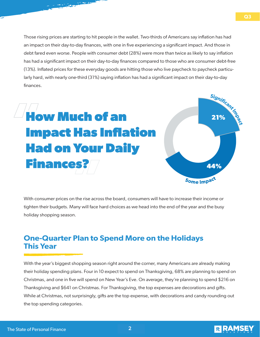larly hard, with nearly one-third (31%) saying inflation has had a significant impact on their day-to-day  $\blacksquare$ Those rising prices are starting to hit people in the wallet. Two-thirds of Americans say inflation has had an impact on their day-to-day finances, with one in five experiencing a significant impact. And those in debt fared even worse. People with consumer debt (28%) were more than twice as likely to say inflation has had a significant impact on their day-to-day finances compared to those who are consumer debt-free (13%). Inflated prices for these everyday goods are hitting those who live paycheck to paycheck particufinances.

# financial setback of the pandemic, with those in debt more likely to doubt ever bouncing back. **How Much of an personal finances and money as the significant stress. Yet American stress.** Yet  $\mathbf{A}$ forward-thinking retirement savings as the financial goal. And despite the financial goal. And despite the financial goal of  $\mathcal{A}$ past year, the majority of Americans (79%) are hopeful about their personal finances in the year ahead. **Personal Finances and Money Stress**



With consumer prices on the rise across the board, consumers will have to increase their income or tighten their budgets. Many will face hard choices as we head into the end of the year and the busy holiday shopping season.

### anter Fian to spend more on the Hondays<br>|<br>|-**One-Quarter Plan to Spend More on the Holidays This Year**

with the year's biggest shopping season right around the corner, many Americans are already making<br>their holiday spending plans. Four in 10 expect to spend on Thanksgiving, 68% are planning to spend. their nollday spending plans. Four in TO expect to spend on Thanksgiving, 68% are planning to spend on<br>Christmas, and one in five will spend on New Year's Eve. On average, they're planning to spend \$216 on their holiday spending plans. Four in 10 expect to spend on Thanksgiving, 68% are planning to spend on Thanksgiving and \$641 on Christmas. For Thanksgiving, the top expenses are decorations and gifts. While at Christmas, not surprisingly, gifts are the top expense, with decorations and candy rounding out the top spending categories.



**Q1 Q3**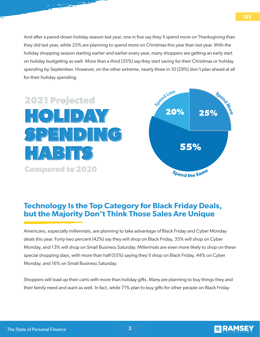for their holiday spending. And after a pared-down holiday season last year, one in five say they'll spend more on Thanksgiving than they did last year, while 25% are planning to spend more on Christmas this year than last year. With the holiday shopping season starting earlier and earlier every year, many shoppers are getting an early start on holiday budgeting as well. More than a third (35%) say they start saving for their Christmas or holiday spending by September. However, on the other extreme, nearly three in 10 (29%) don't plan ahead at all

# $\mathcal{S}$  set the pandemic, with the pandemic, with the pandemic,  $\mathcal{S}$  $\Box$ stress, worre, worre, fear, worre, they reported a range of emotions when it comes to money. In fact, they reported a range of emotions when it comes to money. In fact, they reported a range of emotions when it comes personal finances and money as their number of significant stress. Yet American the Significant stress. Yet American  $\sim$  , ranking retirement savings as the financial goal. And despite the financial goal. And despite the financial goal. And despite the financial goal. And despite the financial goal. And despite the financial goal. And past year, the majority of Americans (79%) are hopeful about their personal finances in the  $\frac{D}{D}$  $\blacksquare$ **Compared to 2020**



### sleep over their personal finances. Nearly half (47%) of Americans are always worried they'll have an **Technology Is the Top Category for Black Friday Deals, but the Majority Don't Think Those Sales Are Unique**

**PERSONAL FINANCES**<br>PERSONAL FINANCES **PERSONAL FINANCES EN EL ENTRE EL ENTRE EL ENTRE EL ENTRE EL ENTRE EL ENTRE EL ENTRE EL ENTRE EL ENTRE EL ENTRE EL ENTRE EL ENTRE EL ENTRE EL ENTRE EL ENTRE EL ENTRE EL ENTRE EL ENTRE PERSONAL FINANCES**<br>PERSONAL FINANCES **PERSONAL FINANCES AND PERSONAL FINANCES PERSONAL FINANCES PERSONAL FINANCES PERSONAL FINANCES** special shopping days, with more than half (55%) saying they'll shop on Black Friday, 44% on Cyber rony-two percent (42%) say they will shop on Black Fhday, 33% will shop of Small Business Saturday. Millennials are even more likely to<br>13% will shop on Small Business Saturday. Millennials are even more likely to<br>1ng days Americans, especially millennials, are planning to take advantage of Black Friday and Cyber Monday deals this year. Forty-two percent (42%) say they will shop on Black Friday, 35% will shop on Cyber Monday, and 13% will shop on Small Business Saturday. Millennials are even more likely to shop on these Monday, and 16% on Small Business Saturday.

Shoppers will load up their carts with more than holiday gifts. Many are planning to buy things they and their family need and want as well. In fact, while 71% plan to buy gifts for other people on Black Friday



**Q1 Q3**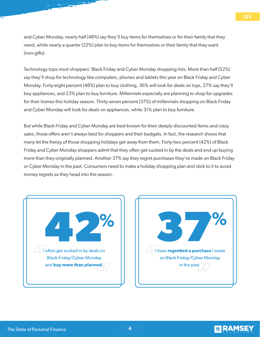and Cyber Monday, nearly half (48%) say they'll buy items for themselves or for their family that they need, while nearly a quarter (22%) plan to buy items for themselves or their family that they want  $(non-gifts).$ 

say they'll shop for technology like computers, phones and tablets this year on Black Friday and Cyber Monday. Forty-eight percent (48%) plan to buy clothing, 36% will look for deals on toys, 27% say they'll buy appliances, and 23% plan to buy furniture. Millennials especially are planning to shop for upgrades for their homes this holiday season. Thirty-seven percent (37%) of millennials shopping on Black Friday Technology tops most shoppers' Black Friday and Cyber Monday shopping lists. More than half (52%) and Cyber Monday will look for deals on appliances, while 31% plan to buy furniture.

But while Black Friday and Cyber Monday are best known for their deeply discounted items and crazy sales, those offers aren't always best for shoppers and their budgets. In fact, the research shows that many let the frenzy of those shopping holidays get away from them. Forty-two percent (42%) of Black Friday and Cyber Monday shoppers admit that they often get sucked in by the deals and end up buying **Personal Finances and Money Stress** money regrets as they head into the season. more than they originally planned. Another 37% say they regret purchases they've made on Black Friday or Cyber Monday in the past. Consumers need to make a holiday shopping plan and stick to it to avoid





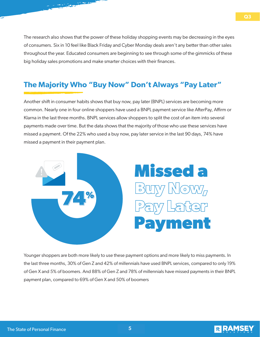The research also shows that the power of these holiday shopping events may be decreasing in the eyes of consumers. Six in 10 feel like Black Friday and Cyber Monday deals aren't any better than other sales throughout the year. Educated consumers are beginning to see through some of the gimmicks of these big holiday sales promotions and make smarter choices with their finances.

### In March of 2020, America shut down in response to COVID-19, a global pandemic on a scale none The Majority Who "Buy Now" Don't Always "Pay Later"

including finances. Thirty-four percent (34%) of Americans don't believe they'll recover from the

Another shift in consumer habits shows that buy now, pay later (BNPL) services are becoming more Klarna in the last three months. BNPL services allow shoppers to split the cost of an item into several payments made over time. But the data shows that the majority of those who use these services have missed a payment. Of the 22% who used a buy now, pay later service in the last 90 days, 74% have missed a payment in their payment plan. common. Nearly one in four online shoppers have used a BNPL payment service like AfterPay, Affirm or



**PERSONAL FINANCES**<br> **PERSONAL FINANCES**<br> **PERSONAL FINANCES**<br> **PERSONAL FINANCES**<br> **PERSONAL FINANCES**<br> **PERSONAL FINANCES**<br> **PERSONAL FINANCES AND MONEY**  payment plan, compared to 69% of Gen X and 50% of boomers of Gen X and 5% of boomers. And 88% of Gen Z and 78% of millennials have missed payments in their BNPL<br>payment plan, compared to 69% of Gen X and 50% of boomers the last three months, 30% of Gen Z and 42% of millennials have used BNPL services, compared to only 19%



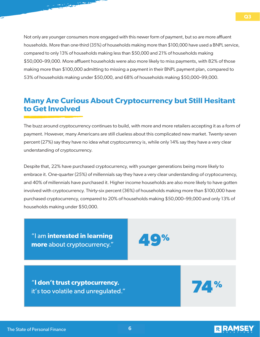In March of 2020, America shut down in response to COVID-19, a global pandemic on a scale none 53% of households making under \$50,000, and 68% of households making \$50,000–99,000. Not only are younger consumers more engaged with this newer form of payment, but so are more affluent households. More than one-third (35%) of households making more than \$100,000 have used a BNPL service, compared to only 13% of households making less than \$50,000 and 21% of households making \$50,000–99,000. More affluent households were also more likely to miss payments, with 82% of those making more than \$100,000 admitting to missing a payment in their BNPL payment plan, compared to

### including finances. Thirty-four percent (34%) of Americans don't believe they'll recover from the **Many Are Curious About Cryptocurrency but Still Hesitant to Get Involved**

Stress, worry, fear—Americans feel a range of emotions when it comes to money. In fact, they report

The buzz around cryptocurrency continues to build, with more and more retailers accepting it as a form of payment. However, many Americans are still clueless about this complicated new market. Twenty-seven percent (27%) say they have no idea what cryptocurrency is, while only 14% say they have a very clear understanding of cryptocurrency.

and 40% of millennials have purchased it. Higher income households are also more likely to have gotten involved with cryptocurrency. Thirty-six percent (36%) of households making more than \$100,000 have purchased cryptocurrency, compared to 20% of households making \$50,000–99,000 and only 13% of households making under \$50,000. This age group was also concerned here age group and the most concerned here  $\frac{1}{2}$ **Personal Finances and Money Stress** embrace it. One-quarter (25%) of millennials say they have a very clear understanding of cryptocurrency, Despite that, 22% have purchased cryptocurrency, with younger generations being more likely to

"I am interested in learning Tam interested in learning<br>more about cryptocurrency."

reports feeling this way.

**PERSONAL FINANCES** 

**PERSONAL FINANCES** 

**AND MONEY AND MONEY**  it's too volatile and unregulated."